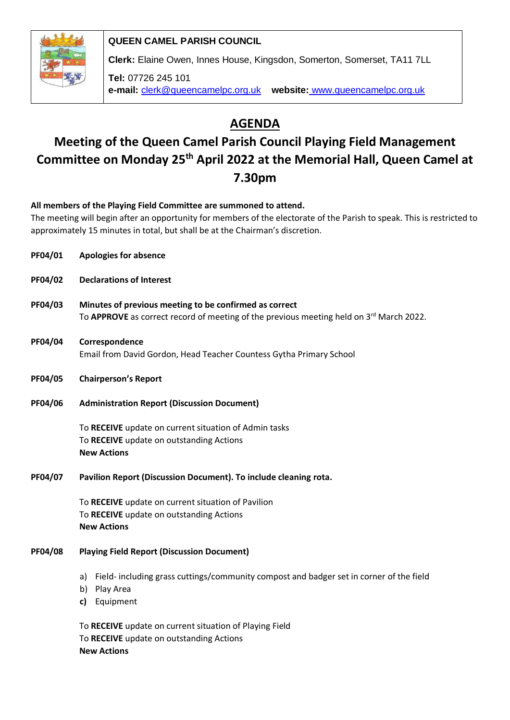

**QUEEN CAMEL PARISH COUNCIL**

**Clerk:** Elaine Owen, Innes House, Kingsdon, Somerton, Somerset, TA11 7LL

**Tel:** 07726 245 101 **e-mail:** clerk@queencamelpc.org.uk **website:** [www.queencamelpc.org.uk](http://www.queencamelpc.org.uk/)

# **AGENDA**

# **Meeting of the Queen Camel Parish Council Playing Field Management Committee on Monday 25th April 2022 at the Memorial Hall, Queen Camel at 7.30pm**

**All members of the Playing Field Committee are summoned to attend.** 

The meeting will begin after an opportunity for members of the electorate of the Parish to speak. This is restricted to approximately 15 minutes in total, but shall be at the Chairman's discretion.

- **PF04/01 Apologies for absence**
- **PF04/02 Declarations of Interest**
- **PF04/03 Minutes of previous meeting to be confirmed as correct** To **APPROVE** as correct record of meeting of the previous meeting held on 3rd March 2022.
- **PF04/04 Correspondence** Email from David Gordon, Head Teacher Countess Gytha Primary School
- **PF04/05 Chairperson's Report**
- **PF04/06 Administration Report (Discussion Document)**

To **RECEIVE** update on current situation of Admin tasks To **RECEIVE** update on outstanding Actions **New Actions**

**PF04/07 Pavilion Report (Discussion Document). To include cleaning rota.**

To **RECEIVE** update on current situation of Pavilion To **RECEIVE** update on outstanding Actions **New Actions**

### **PF04/08 Playing Field Report (Discussion Document)**

- a) Field- including grass cuttings/community compost and badger set in corner of the field
- b) Play Area
- **c)** Equipment

To **RECEIVE** update on current situation of Playing Field To **RECEIVE** update on outstanding Actions **New Actions**